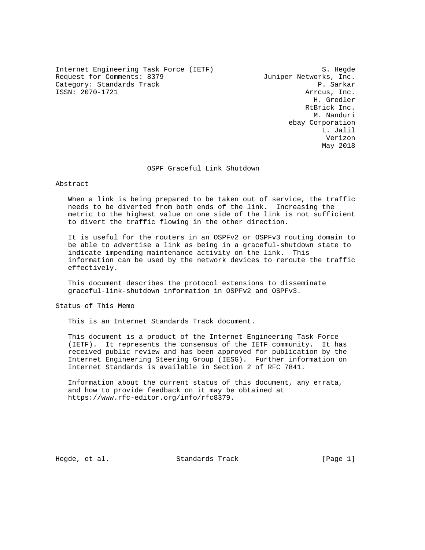Internet Engineering Task Force (IETF) S. Hegde Request for Comments: 8379 Juniper Networks, Inc. Category: Standards Track P. Sarkar ISSN: 2070-1721 Arrcus, Inc.

 H. Gredler RtBrick Inc. M. Nanduri ebay Corporation L. Jalil Verizon May 2018

### OSPF Graceful Link Shutdown

#### Abstract

 When a link is being prepared to be taken out of service, the traffic needs to be diverted from both ends of the link. Increasing the metric to the highest value on one side of the link is not sufficient to divert the traffic flowing in the other direction.

 It is useful for the routers in an OSPFv2 or OSPFv3 routing domain to be able to advertise a link as being in a graceful-shutdown state to indicate impending maintenance activity on the link. This information can be used by the network devices to reroute the traffic effectively.

 This document describes the protocol extensions to disseminate graceful-link-shutdown information in OSPFv2 and OSPFv3.

Status of This Memo

This is an Internet Standards Track document.

 This document is a product of the Internet Engineering Task Force (IETF). It represents the consensus of the IETF community. It has received public review and has been approved for publication by the Internet Engineering Steering Group (IESG). Further information on Internet Standards is available in Section 2 of RFC 7841.

 Information about the current status of this document, any errata, and how to provide feedback on it may be obtained at https://www.rfc-editor.org/info/rfc8379.

Hegde, et al. Standards Track [Page 1]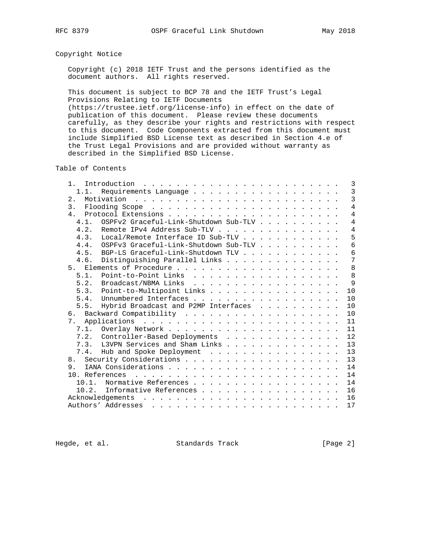# Copyright Notice

 Copyright (c) 2018 IETF Trust and the persons identified as the document authors. All rights reserved.

 This document is subject to BCP 78 and the IETF Trust's Legal Provisions Relating to IETF Documents

 (https://trustee.ietf.org/license-info) in effect on the date of publication of this document. Please review these documents carefully, as they describe your rights and restrictions with respect to this document. Code Components extracted from this document must include Simplified BSD License text as described in Section 4.e of the Trust Legal Provisions and are provided without warranty as described in the Simplified BSD License.

Table of Contents

| $1$ .          | Introduction $\ldots \ldots \ldots \ldots \ldots \ldots \ldots \ldots$ |  |  |  |  |  |  | 3              |
|----------------|------------------------------------------------------------------------|--|--|--|--|--|--|----------------|
| 1.1.           |                                                                        |  |  |  |  |  |  | $\overline{3}$ |
| 2.             |                                                                        |  |  |  |  |  |  | 3              |
| $\mathcal{E}$  |                                                                        |  |  |  |  |  |  | $\overline{4}$ |
| 4 <sub>1</sub> |                                                                        |  |  |  |  |  |  | $\overline{4}$ |
| 4.1.           | OSPFv2 Graceful-Link-Shutdown Sub-TLV                                  |  |  |  |  |  |  | $\overline{4}$ |
| 4.2.           | Remote IPv4 Address Sub-TLV                                            |  |  |  |  |  |  | 4              |
| 4.3.           | Local/Remote Interface ID Sub-TLV                                      |  |  |  |  |  |  | 5              |
| 4.4.           | OSPFv3 Graceful-Link-Shutdown Sub-TLV                                  |  |  |  |  |  |  | 6              |
| 4.5.           | BGP-LS Graceful-Link-Shutdown TLV                                      |  |  |  |  |  |  | 6              |
| 4.6.           | Distinguishing Parallel Links                                          |  |  |  |  |  |  | 7              |
|                |                                                                        |  |  |  |  |  |  | 8              |
| 5.1.           | Point-to-Point Links                                                   |  |  |  |  |  |  | 8              |
| 5.2.           | Broadcast/NBMA Links                                                   |  |  |  |  |  |  | 9              |
| 5.3.           | Point-to-Multipoint Links                                              |  |  |  |  |  |  | 10             |
| 5.4.           | Unnumbered Interfaces                                                  |  |  |  |  |  |  | 10             |
| 5.5.           | Hybrid Broadcast and P2MP Interfaces                                   |  |  |  |  |  |  | 10             |
|                |                                                                        |  |  |  |  |  |  | 10             |
|                |                                                                        |  |  |  |  |  |  | 11             |
|                |                                                                        |  |  |  |  |  |  | 11             |
|                | 7.2. Controller-Based Deployments                                      |  |  |  |  |  |  | 12             |
|                | 7.3. L3VPN Services and Sham Links                                     |  |  |  |  |  |  | 13             |
|                | 7.4. Hub and Spoke Deployment                                          |  |  |  |  |  |  | 13             |
|                |                                                                        |  |  |  |  |  |  | 13             |
| 9.             |                                                                        |  |  |  |  |  |  | 14             |
|                |                                                                        |  |  |  |  |  |  | 14             |
| $10.1$ .       | Normative References                                                   |  |  |  |  |  |  | 14             |
|                | 10.2. Informative References                                           |  |  |  |  |  |  | 16             |
|                | Acknowledgements                                                       |  |  |  |  |  |  | 16             |
|                |                                                                        |  |  |  |  |  |  | 17             |
|                |                                                                        |  |  |  |  |  |  |                |

Hegde, et al. Standards Track [Page 2]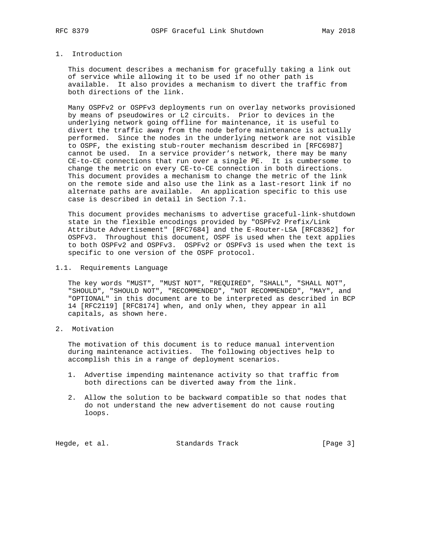# 1. Introduction

 This document describes a mechanism for gracefully taking a link out of service while allowing it to be used if no other path is available. It also provides a mechanism to divert the traffic from both directions of the link.

 Many OSPFv2 or OSPFv3 deployments run on overlay networks provisioned by means of pseudowires or L2 circuits. Prior to devices in the underlying network going offline for maintenance, it is useful to divert the traffic away from the node before maintenance is actually performed. Since the nodes in the underlying network are not visible to OSPF, the existing stub-router mechanism described in [RFC6987] cannot be used. In a service provider's network, there may be many CE-to-CE connections that run over a single PE. It is cumbersome to change the metric on every CE-to-CE connection in both directions. This document provides a mechanism to change the metric of the link on the remote side and also use the link as a last-resort link if no alternate paths are available. An application specific to this use case is described in detail in Section 7.1.

 This document provides mechanisms to advertise graceful-link-shutdown state in the flexible encodings provided by "OSPFv2 Prefix/Link Attribute Advertisement" [RFC7684] and the E-Router-LSA [RFC8362] for OSPFv3. Throughout this document, OSPF is used when the text applies to both OSPFv2 and OSPFv3. OSPFv2 or OSPFv3 is used when the text is specific to one version of the OSPF protocol.

1.1. Requirements Language

 The key words "MUST", "MUST NOT", "REQUIRED", "SHALL", "SHALL NOT", "SHOULD", "SHOULD NOT", "RECOMMENDED", "NOT RECOMMENDED", "MAY", and "OPTIONAL" in this document are to be interpreted as described in BCP 14 [RFC2119] [RFC8174] when, and only when, they appear in all capitals, as shown here.

2. Motivation

 The motivation of this document is to reduce manual intervention during maintenance activities. The following objectives help to accomplish this in a range of deployment scenarios.

- 1. Advertise impending maintenance activity so that traffic from both directions can be diverted away from the link.
- 2. Allow the solution to be backward compatible so that nodes that do not understand the new advertisement do not cause routing loops.

Hegde, et al. Standards Track [Page 3]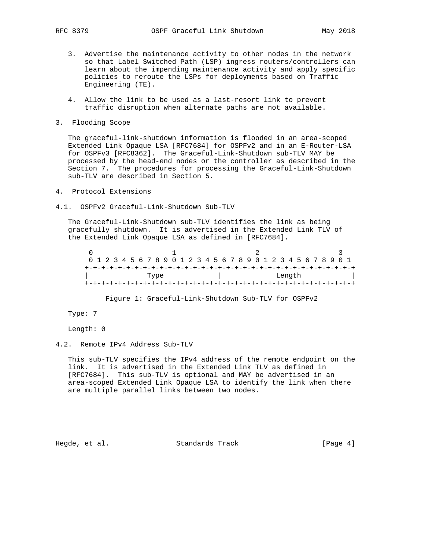- 3. Advertise the maintenance activity to other nodes in the network so that Label Switched Path (LSP) ingress routers/controllers can learn about the impending maintenance activity and apply specific policies to reroute the LSPs for deployments based on Traffic Engineering (TE).
- 4. Allow the link to be used as a last-resort link to prevent traffic disruption when alternate paths are not available.
- 3. Flooding Scope

 The graceful-link-shutdown information is flooded in an area-scoped Extended Link Opaque LSA [RFC7684] for OSPFv2 and in an E-Router-LSA for OSPFv3 [RFC8362]. The Graceful-Link-Shutdown sub-TLV MAY be processed by the head-end nodes or the controller as described in the Section 7. The procedures for processing the Graceful-Link-Shutdown sub-TLV are described in Section 5.

- 4. Protocol Extensions
- 4.1. OSPFv2 Graceful-Link-Shutdown Sub-TLV

 The Graceful-Link-Shutdown sub-TLV identifies the link as being gracefully shutdown. It is advertised in the Extended Link TLV of the Extended Link Opaque LSA as defined in [RFC7684].

|      | 0 1 2 3 4 5 6 7 8 9 0 1 2 3 4 5 6 7 8 9 0 1 2 3 4 5 6 7 8 9 0 1 |  |
|------|-----------------------------------------------------------------|--|
|      |                                                                 |  |
| Type | Length                                                          |  |
|      |                                                                 |  |

Figure 1: Graceful-Link-Shutdown Sub-TLV for OSPFv2

Type: 7

Length: 0

4.2. Remote IPv4 Address Sub-TLV

 This sub-TLV specifies the IPv4 address of the remote endpoint on the link. It is advertised in the Extended Link TLV as defined in [RFC7684]. This sub-TLV is optional and MAY be advertised in an area-scoped Extended Link Opaque LSA to identify the link when there are multiple parallel links between two nodes.

Hegde, et al. Standards Track [Page 4]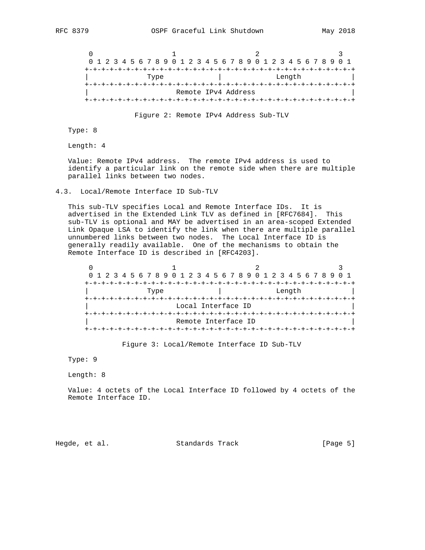

Figure 2: Remote IPv4 Address Sub-TLV

Type: 8

Length: 4

 Value: Remote IPv4 address. The remote IPv4 address is used to identify a particular link on the remote side when there are multiple parallel links between two nodes.

#### 4.3. Local/Remote Interface ID Sub-TLV

 This sub-TLV specifies Local and Remote Interface IDs. It is advertised in the Extended Link TLV as defined in [RFC7684]. This sub-TLV is optional and MAY be advertised in an area-scoped Extended Link Opaque LSA to identify the link when there are multiple parallel unnumbered links between two nodes. The Local Interface ID is generally readily available. One of the mechanisms to obtain the Remote Interface ID is described in [RFC4203].

|      | 0 1 2 3 4 5 6 7 8 9 0 1 2 3 4 5 6 7 8 9 0 1 2 3 4 5 6 7 8 9 0 1 |        |
|------|-----------------------------------------------------------------|--------|
|      |                                                                 |        |
| Type |                                                                 | Length |
|      |                                                                 |        |
|      | Local Interface ID                                              |        |
|      |                                                                 |        |
|      | Remote Interface ID                                             |        |
|      |                                                                 |        |

Figure 3: Local/Remote Interface ID Sub-TLV

Type: 9

Length: 8

 Value: 4 octets of the Local Interface ID followed by 4 octets of the Remote Interface ID.

Hegde, et al. Standards Track [Page 5]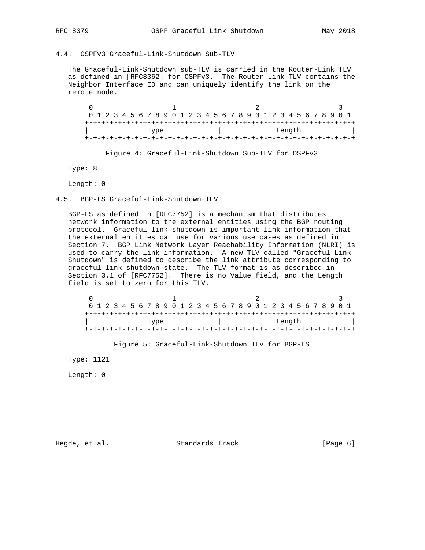# 4.4. OSPFv3 Graceful-Link-Shutdown Sub-TLV

 The Graceful-Link-Shutdown sub-TLV is carried in the Router-Link TLV as defined in [RFC8362] for OSPFv3. The Router-Link TLV contains the Neighbor Interface ID and can uniquely identify the link on the remote node.

0  $1$  2 3 0 1 2 3 4 5 6 7 8 9 0 1 2 3 4 5 6 7 8 9 0 1 2 3 4 5 6 7 8 9 0 1 +-+-+-+-+-+-+-+-+-+-+-+-+-+-+-+-+-+-+-+-+-+-+-+-+-+-+-+-+-+-+-+-+ | Tength | Length | Length | Type | Length | Type | Type | Type | Type | Type | Type | Type | Type | Type | Type | Type | Type | Type | Type | Type | Type | Type | Type | Type | Type | Type | Type | Type | Type | Type | Ty +-+-+-+-+-+-+-+-+-+-+-+-+-+-+-+-+-+-+-+-+-+-+-+-+-+-+-+-+-+-+-+-+

Figure 4: Graceful-Link-Shutdown Sub-TLV for OSPFv3

Type: 8

Length: 0

4.5. BGP-LS Graceful-Link-Shutdown TLV

 BGP-LS as defined in [RFC7752] is a mechanism that distributes network information to the external entities using the BGP routing protocol. Graceful link shutdown is important link information that the external entities can use for various use cases as defined in Section 7. BGP Link Network Layer Reachability Information (NLRI) is used to carry the link information. A new TLV called "Graceful-Link- Shutdown" is defined to describe the link attribute corresponding to graceful-link-shutdown state. The TLV format is as described in Section 3.1 of [RFC7752]. There is no Value field, and the Length field is set to zero for this TLV.

|      | 0 1 2 3 4 5 6 7 8 9 0 1 2 3 4 5 6 7 8 9 0 1 2 3 4 5 6 7 8 9 0 1 |  |
|------|-----------------------------------------------------------------|--|
|      |                                                                 |  |
| Type | Length                                                          |  |
|      |                                                                 |  |

Figure 5: Graceful-Link-Shutdown TLV for BGP-LS

Type: 1121

Length: 0

Hegde, et al. Standards Track [Page 6]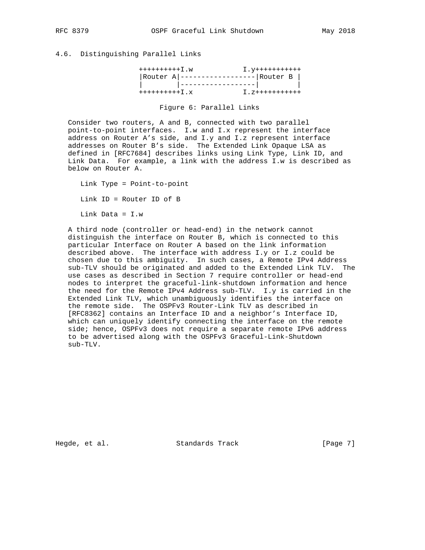# 4.6. Distinguishing Parallel Links

| $+++++++++++I$ .w                   |                                             | I. <del>y+++++++++++</del> |
|-------------------------------------|---------------------------------------------|----------------------------|
|                                     | $ $ Router A   ------------------  Router B |                            |
|                                     |                                             |                            |
| $+$ ++++++++++ $\overline{I}$ . $X$ |                                             | $I. z$ +++++++++++         |

#### Figure 6: Parallel Links

 Consider two routers, A and B, connected with two parallel point-to-point interfaces. I.w and I.x represent the interface address on Router A's side, and I.y and I.z represent interface addresses on Router B's side. The Extended Link Opaque LSA as defined in [RFC7684] describes links using Link Type, Link ID, and Link Data. For example, a link with the address I.w is described as below on Router A.

 Link Type = Point-to-point Link ID = Router ID of B Link Data = I.w

 A third node (controller or head-end) in the network cannot distinguish the interface on Router B, which is connected to this particular Interface on Router A based on the link information described above. The interface with address I.y or I.z could be chosen due to this ambiguity. In such cases, a Remote IPv4 Address sub-TLV should be originated and added to the Extended Link TLV. The use cases as described in Section 7 require controller or head-end nodes to interpret the graceful-link-shutdown information and hence the need for the Remote IPv4 Address sub-TLV. I.y is carried in the Extended Link TLV, which unambiguously identifies the interface on the remote side. The OSPFv3 Router-Link TLV as described in [RFC8362] contains an Interface ID and a neighbor's Interface ID, which can uniquely identify connecting the interface on the remote side; hence, OSPFv3 does not require a separate remote IPv6 address to be advertised along with the OSPFv3 Graceful-Link-Shutdown sub-TLV.

Hegde, et al. Standards Track [Page 7]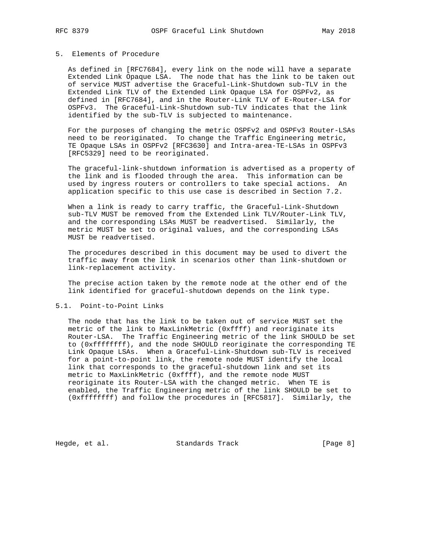# 5. Elements of Procedure

 As defined in [RFC7684], every link on the node will have a separate Extended Link Opaque LSA. The node that has the link to be taken out of service MUST advertise the Graceful-Link-Shutdown sub-TLV in the Extended Link TLV of the Extended Link Opaque LSA for OSPFv2, as defined in [RFC7684], and in the Router-Link TLV of E-Router-LSA for OSPFv3. The Graceful-Link-Shutdown sub-TLV indicates that the link identified by the sub-TLV is subjected to maintenance.

 For the purposes of changing the metric OSPFv2 and OSPFv3 Router-LSAs need to be reoriginated. To change the Traffic Engineering metric, TE Opaque LSAs in OSPFv2 [RFC3630] and Intra-area-TE-LSAs in OSPFv3 [RFC5329] need to be reoriginated.

 The graceful-link-shutdown information is advertised as a property of the link and is flooded through the area. This information can be used by ingress routers or controllers to take special actions. An application specific to this use case is described in Section 7.2.

 When a link is ready to carry traffic, the Graceful-Link-Shutdown sub-TLV MUST be removed from the Extended Link TLV/Router-Link TLV, and the corresponding LSAs MUST be readvertised. Similarly, the metric MUST be set to original values, and the corresponding LSAs MUST be readvertised.

 The procedures described in this document may be used to divert the traffic away from the link in scenarios other than link-shutdown or link-replacement activity.

 The precise action taken by the remote node at the other end of the link identified for graceful-shutdown depends on the link type.

### 5.1. Point-to-Point Links

 The node that has the link to be taken out of service MUST set the metric of the link to MaxLinkMetric (0xffff) and reoriginate its Router-LSA. The Traffic Engineering metric of the link SHOULD be set to (0xffffffff), and the node SHOULD reoriginate the corresponding TE Link Opaque LSAs. When a Graceful-Link-Shutdown sub-TLV is received for a point-to-point link, the remote node MUST identify the local link that corresponds to the graceful-shutdown link and set its metric to MaxLinkMetric (0xffff), and the remote node MUST reoriginate its Router-LSA with the changed metric. When TE is enabled, the Traffic Engineering metric of the link SHOULD be set to (0xffffffff) and follow the procedures in [RFC5817]. Similarly, the

Hegde, et al. Standards Track [Page 8]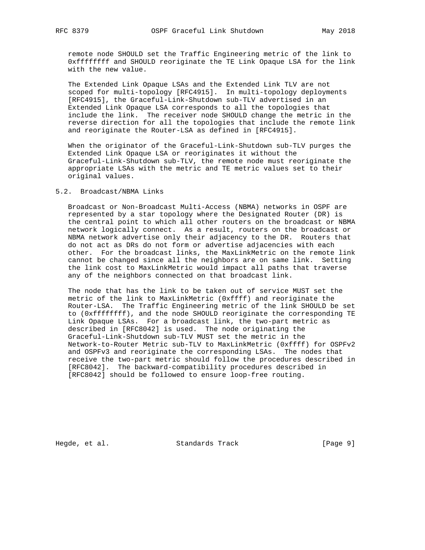remote node SHOULD set the Traffic Engineering metric of the link to 0xffffffff and SHOULD reoriginate the TE Link Opaque LSA for the link with the new value.

 The Extended Link Opaque LSAs and the Extended Link TLV are not scoped for multi-topology [RFC4915]. In multi-topology deployments [RFC4915], the Graceful-Link-Shutdown sub-TLV advertised in an Extended Link Opaque LSA corresponds to all the topologies that include the link. The receiver node SHOULD change the metric in the reverse direction for all the topologies that include the remote link and reoriginate the Router-LSA as defined in [RFC4915].

 When the originator of the Graceful-Link-Shutdown sub-TLV purges the Extended Link Opaque LSA or reoriginates it without the Graceful-Link-Shutdown sub-TLV, the remote node must reoriginate the appropriate LSAs with the metric and TE metric values set to their original values.

## 5.2. Broadcast/NBMA Links

 Broadcast or Non-Broadcast Multi-Access (NBMA) networks in OSPF are represented by a star topology where the Designated Router (DR) is the central point to which all other routers on the broadcast or NBMA network logically connect. As a result, routers on the broadcast or NBMA network advertise only their adjacency to the DR. Routers that do not act as DRs do not form or advertise adjacencies with each other. For the broadcast links, the MaxLinkMetric on the remote link cannot be changed since all the neighbors are on same link. Setting the link cost to MaxLinkMetric would impact all paths that traverse any of the neighbors connected on that broadcast link.

 The node that has the link to be taken out of service MUST set the metric of the link to MaxLinkMetric (0xffff) and reoriginate the Router-LSA. The Traffic Engineering metric of the link SHOULD be set to (0xffffffff), and the node SHOULD reoriginate the corresponding TE Link Opaque LSAs. For a broadcast link, the two-part metric as described in [RFC8042] is used. The node originating the Graceful-Link-Shutdown sub-TLV MUST set the metric in the Network-to-Router Metric sub-TLV to MaxLinkMetric (0xffff) for OSPFv2 and OSPFv3 and reoriginate the corresponding LSAs. The nodes that receive the two-part metric should follow the procedures described in [RFC8042]. The backward-compatibility procedures described in [RFC8042] should be followed to ensure loop-free routing.

Hegde, et al. Standards Track [Page 9]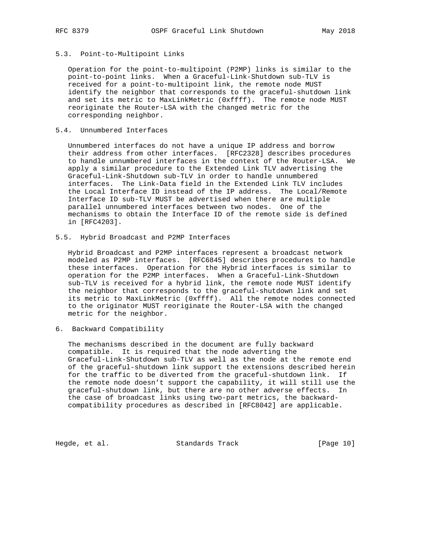#### 5.3. Point-to-Multipoint Links

 Operation for the point-to-multipoint (P2MP) links is similar to the point-to-point links. When a Graceful-Link-Shutdown sub-TLV is received for a point-to-multipoint link, the remote node MUST identify the neighbor that corresponds to the graceful-shutdown link and set its metric to MaxLinkMetric (0xffff). The remote node MUST reoriginate the Router-LSA with the changed metric for the corresponding neighbor.

# 5.4. Unnumbered Interfaces

 Unnumbered interfaces do not have a unique IP address and borrow their address from other interfaces. [RFC2328] describes procedures to handle unnumbered interfaces in the context of the Router-LSA. We apply a similar procedure to the Extended Link TLV advertising the Graceful-Link-Shutdown sub-TLV in order to handle unnumbered interfaces. The Link-Data field in the Extended Link TLV includes the Local Interface ID instead of the IP address. The Local/Remote Interface ID sub-TLV MUST be advertised when there are multiple parallel unnumbered interfaces between two nodes. One of the mechanisms to obtain the Interface ID of the remote side is defined in [RFC4203].

5.5. Hybrid Broadcast and P2MP Interfaces

 Hybrid Broadcast and P2MP interfaces represent a broadcast network modeled as P2MP interfaces. [RFC6845] describes procedures to handle these interfaces. Operation for the Hybrid interfaces is similar to operation for the P2MP interfaces. When a Graceful-Link-Shutdown sub-TLV is received for a hybrid link, the remote node MUST identify the neighbor that corresponds to the graceful-shutdown link and set its metric to MaxLinkMetric (0xffff). All the remote nodes connected to the originator MUST reoriginate the Router-LSA with the changed metric for the neighbor.

6. Backward Compatibility

 The mechanisms described in the document are fully backward compatible. It is required that the node adverting the Graceful-Link-Shutdown sub-TLV as well as the node at the remote end of the graceful-shutdown link support the extensions described herein for the traffic to be diverted from the graceful-shutdown link. If the remote node doesn't support the capability, it will still use the graceful-shutdown link, but there are no other adverse effects. In the case of broadcast links using two-part metrics, the backward compatibility procedures as described in [RFC8042] are applicable.

Hegde, et al. Standards Track [Page 10]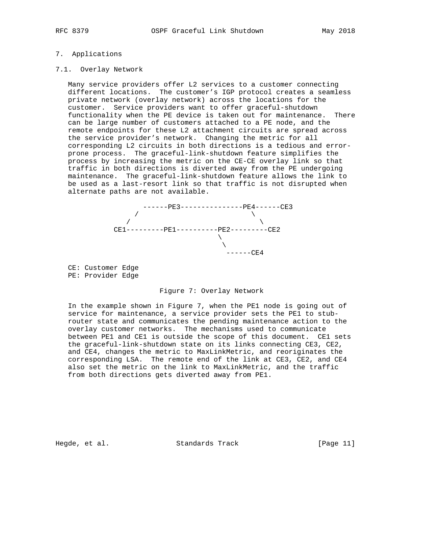# 7. Applications

### 7.1. Overlay Network

 Many service providers offer L2 services to a customer connecting different locations. The customer's IGP protocol creates a seamless private network (overlay network) across the locations for the customer. Service providers want to offer graceful-shutdown functionality when the PE device is taken out for maintenance. There can be large number of customers attached to a PE node, and the remote endpoints for these L2 attachment circuits are spread across the service provider's network. Changing the metric for all corresponding L2 circuits in both directions is a tedious and error prone process. The graceful-link-shutdown feature simplifies the process by increasing the metric on the CE-CE overlay link so that traffic in both directions is diverted away from the PE undergoing maintenance. The graceful-link-shutdown feature allows the link to be used as a last-resort link so that traffic is not disrupted when alternate paths are not available.



 CE: Customer Edge PE: Provider Edge

#### Figure 7: Overlay Network

 In the example shown in Figure 7, when the PE1 node is going out of service for maintenance, a service provider sets the PE1 to stub router state and communicates the pending maintenance action to the overlay customer networks. The mechanisms used to communicate between PE1 and CE1 is outside the scope of this document. CE1 sets the graceful-link-shutdown state on its links connecting CE3, CE2, and CE4, changes the metric to MaxLinkMetric, and reoriginates the corresponding LSA. The remote end of the link at CE3, CE2, and CE4 also set the metric on the link to MaxLinkMetric, and the traffic from both directions gets diverted away from PE1.

Hegde, et al. Standards Track [Page 11]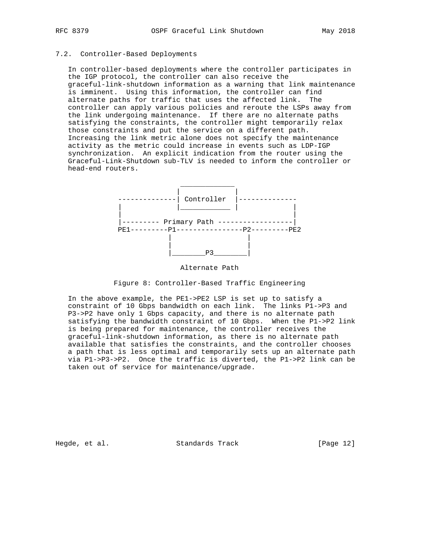# 7.2. Controller-Based Deployments

 In controller-based deployments where the controller participates in the IGP protocol, the controller can also receive the graceful-link-shutdown information as a warning that link maintenance is imminent. Using this information, the controller can find alternate paths for traffic that uses the affected link. The controller can apply various policies and reroute the LSPs away from the link undergoing maintenance. If there are no alternate paths satisfying the constraints, the controller might temporarily relax those constraints and put the service on a different path. Increasing the link metric alone does not specify the maintenance activity as the metric could increase in events such as LDP-IGP synchronization. An explicit indication from the router using the Graceful-Link-Shutdown sub-TLV is needed to inform the controller or head-end routers.



# Alternate Path

## Figure 8: Controller-Based Traffic Engineering

 In the above example, the PE1->PE2 LSP is set up to satisfy a constraint of 10 Gbps bandwidth on each link. The links P1->P3 and P3->P2 have only 1 Gbps capacity, and there is no alternate path satisfying the bandwidth constraint of 10 Gbps. When the P1->P2 link is being prepared for maintenance, the controller receives the graceful-link-shutdown information, as there is no alternate path available that satisfies the constraints, and the controller chooses a path that is less optimal and temporarily sets up an alternate path via P1->P3->P2. Once the traffic is diverted, the P1->P2 link can be taken out of service for maintenance/upgrade.

Hegde, et al. Standards Track [Page 12]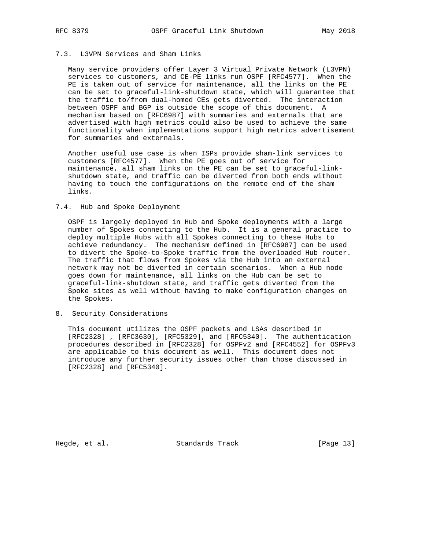# 7.3. L3VPN Services and Sham Links

 Many service providers offer Layer 3 Virtual Private Network (L3VPN) services to customers, and CE-PE links run OSPF [RFC4577]. When the PE is taken out of service for maintenance, all the links on the PE can be set to graceful-link-shutdown state, which will guarantee that the traffic to/from dual-homed CEs gets diverted. The interaction between OSPF and BGP is outside the scope of this document. A mechanism based on [RFC6987] with summaries and externals that are advertised with high metrics could also be used to achieve the same functionality when implementations support high metrics advertisement for summaries and externals.

 Another useful use case is when ISPs provide sham-link services to customers [RFC4577]. When the PE goes out of service for maintenance, all sham links on the PE can be set to graceful-link shutdown state, and traffic can be diverted from both ends without having to touch the configurations on the remote end of the sham links.

#### 7.4. Hub and Spoke Deployment

 OSPF is largely deployed in Hub and Spoke deployments with a large number of Spokes connecting to the Hub. It is a general practice to deploy multiple Hubs with all Spokes connecting to these Hubs to achieve redundancy. The mechanism defined in [RFC6987] can be used to divert the Spoke-to-Spoke traffic from the overloaded Hub router. The traffic that flows from Spokes via the Hub into an external network may not be diverted in certain scenarios. When a Hub node goes down for maintenance, all links on the Hub can be set to graceful-link-shutdown state, and traffic gets diverted from the Spoke sites as well without having to make configuration changes on the Spokes.

8. Security Considerations

 This document utilizes the OSPF packets and LSAs described in [RFC2328] , [RFC3630], [RFC5329], and [RFC5340]. The authentication procedures described in [RFC2328] for OSPFv2 and [RFC4552] for OSPFv3 are applicable to this document as well. This document does not introduce any further security issues other than those discussed in [RFC2328] and [RFC5340].

Hegde, et al. Standards Track [Page 13]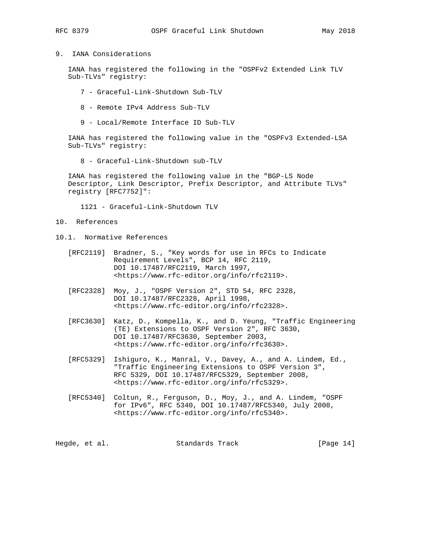# 9. IANA Considerations

 IANA has registered the following in the "OSPFv2 Extended Link TLV Sub-TLVs" registry:

- 7 Graceful-Link-Shutdown Sub-TLV
- 8 Remote IPv4 Address Sub-TLV
- 9 Local/Remote Interface ID Sub-TLV

 IANA has registered the following value in the "OSPFv3 Extended-LSA Sub-TLVs" registry:

8 - Graceful-Link-Shutdown sub-TLV

 IANA has registered the following value in the "BGP-LS Node Descriptor, Link Descriptor, Prefix Descriptor, and Attribute TLVs" registry [RFC7752]":

1121 - Graceful-Link-Shutdown TLV

- 10. References
- 10.1. Normative References
	- [RFC2119] Bradner, S., "Key words for use in RFCs to Indicate Requirement Levels", BCP 14, RFC 2119, DOI 10.17487/RFC2119, March 1997, <https://www.rfc-editor.org/info/rfc2119>.
	- [RFC2328] Moy, J., "OSPF Version 2", STD 54, RFC 2328, DOI 10.17487/RFC2328, April 1998, <https://www.rfc-editor.org/info/rfc2328>.
	- [RFC3630] Katz, D., Kompella, K., and D. Yeung, "Traffic Engineering (TE) Extensions to OSPF Version 2", RFC 3630, DOI 10.17487/RFC3630, September 2003, <https://www.rfc-editor.org/info/rfc3630>.
	- [RFC5329] Ishiguro, K., Manral, V., Davey, A., and A. Lindem, Ed., "Traffic Engineering Extensions to OSPF Version 3", RFC 5329, DOI 10.17487/RFC5329, September 2008, <https://www.rfc-editor.org/info/rfc5329>.
	- [RFC5340] Coltun, R., Ferguson, D., Moy, J., and A. Lindem, "OSPF for IPv6", RFC 5340, DOI 10.17487/RFC5340, July 2008, <https://www.rfc-editor.org/info/rfc5340>.

| Hegde, et al.<br>Standards Track | [Page $14$ ] |
|----------------------------------|--------------|
|----------------------------------|--------------|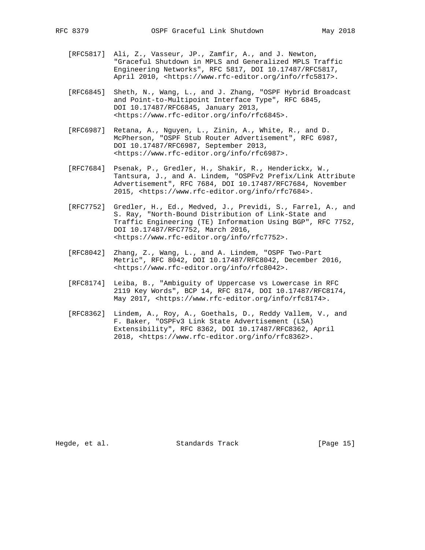- [RFC5817] Ali, Z., Vasseur, JP., Zamfir, A., and J. Newton, "Graceful Shutdown in MPLS and Generalized MPLS Traffic Engineering Networks", RFC 5817, DOI 10.17487/RFC5817, April 2010, <https://www.rfc-editor.org/info/rfc5817>.
- [RFC6845] Sheth, N., Wang, L., and J. Zhang, "OSPF Hybrid Broadcast and Point-to-Multipoint Interface Type", RFC 6845, DOI 10.17487/RFC6845, January 2013, <https://www.rfc-editor.org/info/rfc6845>.
- [RFC6987] Retana, A., Nguyen, L., Zinin, A., White, R., and D. McPherson, "OSPF Stub Router Advertisement", RFC 6987, DOI 10.17487/RFC6987, September 2013, <https://www.rfc-editor.org/info/rfc6987>.
- [RFC7684] Psenak, P., Gredler, H., Shakir, R., Henderickx, W., Tantsura, J., and A. Lindem, "OSPFv2 Prefix/Link Attribute Advertisement", RFC 7684, DOI 10.17487/RFC7684, November 2015, <https://www.rfc-editor.org/info/rfc7684>.
- [RFC7752] Gredler, H., Ed., Medved, J., Previdi, S., Farrel, A., and S. Ray, "North-Bound Distribution of Link-State and Traffic Engineering (TE) Information Using BGP", RFC 7752, DOI 10.17487/RFC7752, March 2016, <https://www.rfc-editor.org/info/rfc7752>.
- [RFC8042] Zhang, Z., Wang, L., and A. Lindem, "OSPF Two-Part Metric", RFC 8042, DOI 10.17487/RFC8042, December 2016, <https://www.rfc-editor.org/info/rfc8042>.
- [RFC8174] Leiba, B., "Ambiguity of Uppercase vs Lowercase in RFC 2119 Key Words", BCP 14, RFC 8174, DOI 10.17487/RFC8174, May 2017, <https://www.rfc-editor.org/info/rfc8174>.
- [RFC8362] Lindem, A., Roy, A., Goethals, D., Reddy Vallem, V., and F. Baker, "OSPFv3 Link State Advertisement (LSA) Extensibility", RFC 8362, DOI 10.17487/RFC8362, April 2018, <https://www.rfc-editor.org/info/rfc8362>.

Hegde, et al. Standards Track [Page 15]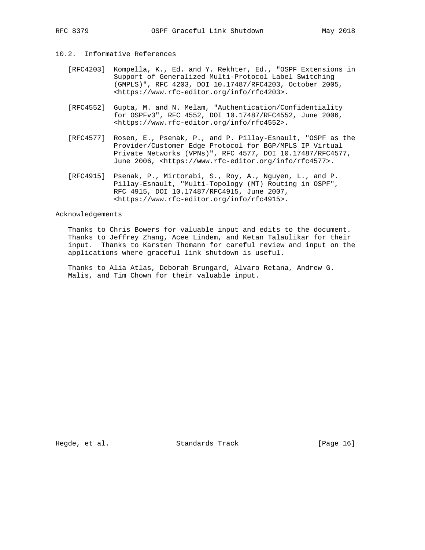# 10.2. Informative References

- [RFC4203] Kompella, K., Ed. and Y. Rekhter, Ed., "OSPF Extensions in Support of Generalized Multi-Protocol Label Switching (GMPLS)", RFC 4203, DOI 10.17487/RFC4203, October 2005, <https://www.rfc-editor.org/info/rfc4203>.
- [RFC4552] Gupta, M. and N. Melam, "Authentication/Confidentiality for OSPFv3", RFC 4552, DOI 10.17487/RFC4552, June 2006, <https://www.rfc-editor.org/info/rfc4552>.
- [RFC4577] Rosen, E., Psenak, P., and P. Pillay-Esnault, "OSPF as the Provider/Customer Edge Protocol for BGP/MPLS IP Virtual Private Networks (VPNs)", RFC 4577, DOI 10.17487/RFC4577, June 2006, <https://www.rfc-editor.org/info/rfc4577>.
- [RFC4915] Psenak, P., Mirtorabi, S., Roy, A., Nguyen, L., and P. Pillay-Esnault, "Multi-Topology (MT) Routing in OSPF", RFC 4915, DOI 10.17487/RFC4915, June 2007, <https://www.rfc-editor.org/info/rfc4915>.

## Acknowledgements

 Thanks to Chris Bowers for valuable input and edits to the document. Thanks to Jeffrey Zhang, Acee Lindem, and Ketan Talaulikar for their input. Thanks to Karsten Thomann for careful review and input on the applications where graceful link shutdown is useful.

 Thanks to Alia Atlas, Deborah Brungard, Alvaro Retana, Andrew G. Malis, and Tim Chown for their valuable input.

Hegde, et al. Standards Track [Page 16]